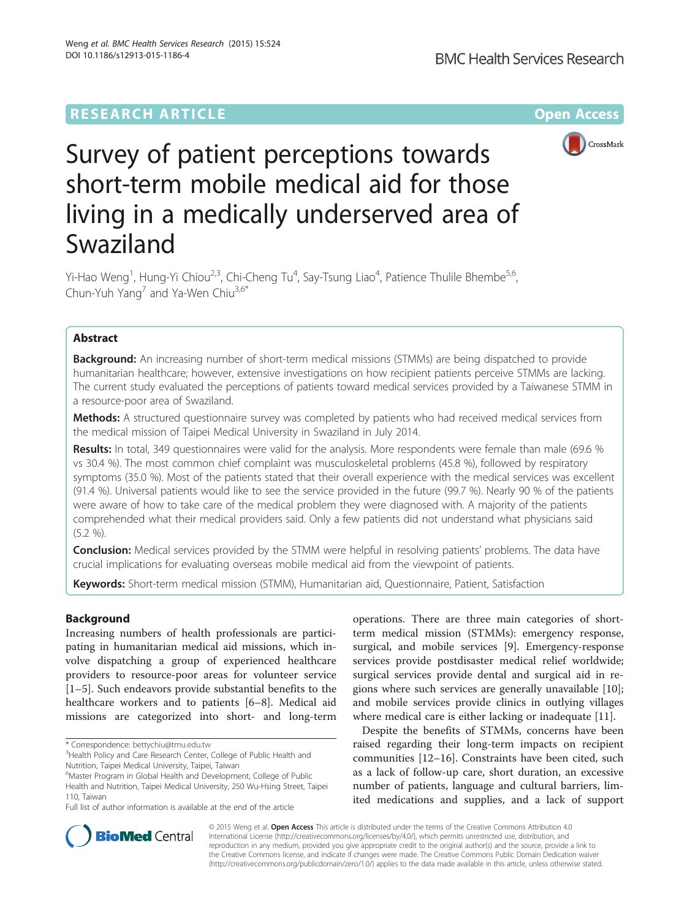# **RESEARCH ARTICLE Example 2014 12:30 The Contract of Contract ACCESS**



# Survey of patient perceptions towards short-term mobile medical aid for those living in a medically underserved area of Swaziland

Yi-Hao Weng<sup>1</sup>, Hung-Yi Chiou<sup>2,3</sup>, Chi-Cheng Tu<sup>4</sup>, Say-Tsung Liao<sup>4</sup>, Patience Thulile Bhembe<sup>5,6</sup>, Chun-Yuh Yang<sup>7</sup> and Ya-Wen Chiu<sup>3,6\*</sup>

## Abstract

**Background:** An increasing number of short-term medical missions (STMMs) are being dispatched to provide humanitarian healthcare; however, extensive investigations on how recipient patients perceive STMMs are lacking. The current study evaluated the perceptions of patients toward medical services provided by a Taiwanese STMM in a resource-poor area of Swaziland.

Methods: A structured questionnaire survey was completed by patients who had received medical services from the medical mission of Taipei Medical University in Swaziland in July 2014.

Results: In total, 349 questionnaires were valid for the analysis. More respondents were female than male (69.6 % vs 30.4 %). The most common chief complaint was musculoskeletal problems (45.8 %), followed by respiratory symptoms (35.0 %). Most of the patients stated that their overall experience with the medical services was excellent (91.4 %). Universal patients would like to see the service provided in the future (99.7 %). Nearly 90 % of the patients were aware of how to take care of the medical problem they were diagnosed with. A majority of the patients comprehended what their medical providers said. Only a few patients did not understand what physicians said (5.2 %).

**Conclusion:** Medical services provided by the STMM were helpful in resolving patients' problems. The data have crucial implications for evaluating overseas mobile medical aid from the viewpoint of patients.

Keywords: Short-term medical mission (STMM), Humanitarian aid, Questionnaire, Patient, Satisfaction

## Background

Increasing numbers of health professionals are participating in humanitarian medical aid missions, which involve dispatching a group of experienced healthcare providers to resource-poor areas for volunteer service [[1](#page-6-0)–[5\]](#page-6-0). Such endeavors provide substantial benefits to the healthcare workers and to patients [[6](#page-6-0)–[8](#page-6-0)]. Medical aid missions are categorized into short- and long-term

operations. There are three main categories of shortterm medical mission (STMMs): emergency response, surgical, and mobile services [\[9](#page-6-0)]. Emergency-response services provide postdisaster medical relief worldwide; surgical services provide dental and surgical aid in regions where such services are generally unavailable [\[10](#page-6-0)]; and mobile services provide clinics in outlying villages where medical care is either lacking or inadequate [[11\]](#page-6-0).

Despite the benefits of STMMs, concerns have been raised regarding their long-term impacts on recipient communities [\[12](#page-6-0)–[16](#page-6-0)]. Constraints have been cited, such as a lack of follow-up care, short duration, an excessive number of patients, language and cultural barriers, limited medications and supplies, and a lack of support



© 2015 Weng et al. Open Access This article is distributed under the terms of the Creative Commons Attribution 4.0 International License [\(http://creativecommons.org/licenses/by/4.0/](http://creativecommons.org/licenses/by/4.0/)), which permits unrestricted use, distribution, and reproduction in any medium, provided you give appropriate credit to the original author(s) and the source, provide a link to the Creative Commons license, and indicate if changes were made. The Creative Commons Public Domain Dedication waiver [\(http://creativecommons.org/publicdomain/zero/1.0/](http://creativecommons.org/publicdomain/zero/1.0/)) applies to the data made available in this article, unless otherwise stated.

<sup>\*</sup> Correspondence: [bettychiu@tmu.edu.tw](mailto:bettychiu@tmu.edu.tw) <sup>3</sup>

<sup>&</sup>lt;sup>3</sup>Health Policy and Care Research Center, College of Public Health and Nutrition, Taipei Medical University, Taipei, Taiwan

<sup>&</sup>lt;sup>6</sup>Master Program in Global Health and Development, College of Public Health and Nutrition, Taipei Medical University, 250 Wu-Hsing Street, Taipei 110, Taiwan

Full list of author information is available at the end of the article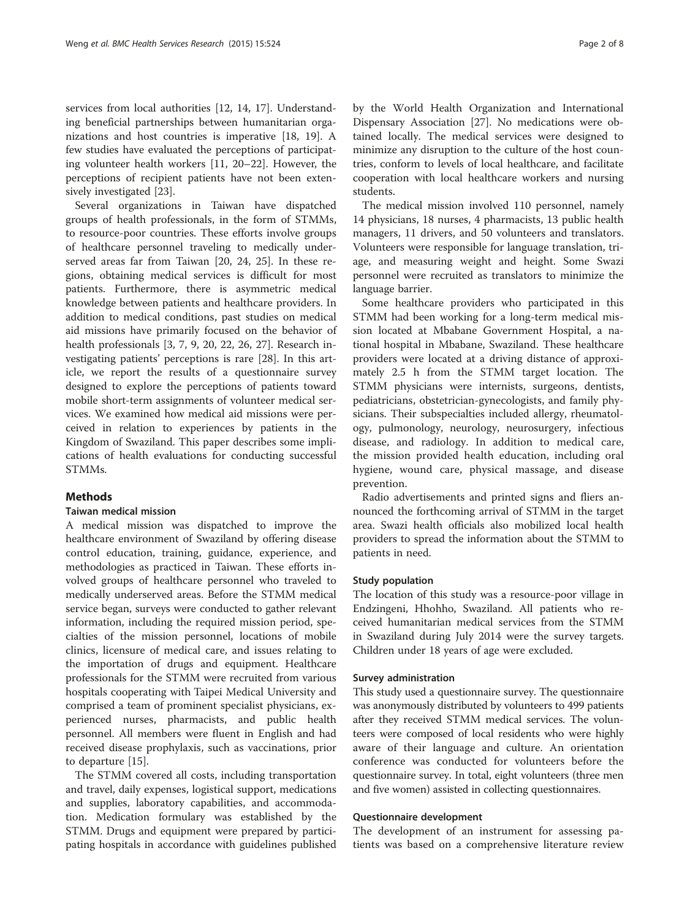services from local authorities [[12, 14](#page-6-0), [17](#page-6-0)]. Understanding beneficial partnerships between humanitarian organizations and host countries is imperative [\[18](#page-6-0), [19](#page-6-0)]. A few studies have evaluated the perceptions of participating volunteer health workers [[11, 20](#page-6-0)–[22](#page-6-0)]. However, the perceptions of recipient patients have not been extensively investigated [\[23](#page-6-0)].

Several organizations in Taiwan have dispatched groups of health professionals, in the form of STMMs, to resource-poor countries. These efforts involve groups of healthcare personnel traveling to medically underserved areas far from Taiwan [[20](#page-6-0), [24, 25\]](#page-6-0). In these regions, obtaining medical services is difficult for most patients. Furthermore, there is asymmetric medical knowledge between patients and healthcare providers. In addition to medical conditions, past studies on medical aid missions have primarily focused on the behavior of health professionals [\[3](#page-6-0), [7](#page-6-0), [9, 20](#page-6-0), [22](#page-6-0), [26](#page-6-0), [27\]](#page-6-0). Research investigating patients' perceptions is rare [[28\]](#page-6-0). In this article, we report the results of a questionnaire survey designed to explore the perceptions of patients toward mobile short-term assignments of volunteer medical services. We examined how medical aid missions were perceived in relation to experiences by patients in the Kingdom of Swaziland. This paper describes some implications of health evaluations for conducting successful STMMs.

## **Methods**

#### Taiwan medical mission

A medical mission was dispatched to improve the healthcare environment of Swaziland by offering disease control education, training, guidance, experience, and methodologies as practiced in Taiwan. These efforts involved groups of healthcare personnel who traveled to medically underserved areas. Before the STMM medical service began, surveys were conducted to gather relevant information, including the required mission period, specialties of the mission personnel, locations of mobile clinics, licensure of medical care, and issues relating to the importation of drugs and equipment. Healthcare professionals for the STMM were recruited from various hospitals cooperating with Taipei Medical University and comprised a team of prominent specialist physicians, experienced nurses, pharmacists, and public health personnel. All members were fluent in English and had received disease prophylaxis, such as vaccinations, prior to departure [\[15](#page-6-0)].

The STMM covered all costs, including transportation and travel, daily expenses, logistical support, medications and supplies, laboratory capabilities, and accommodation. Medication formulary was established by the STMM. Drugs and equipment were prepared by participating hospitals in accordance with guidelines published by the World Health Organization and International Dispensary Association [[27](#page-6-0)]. No medications were obtained locally. The medical services were designed to minimize any disruption to the culture of the host countries, conform to levels of local healthcare, and facilitate cooperation with local healthcare workers and nursing students.

The medical mission involved 110 personnel, namely 14 physicians, 18 nurses, 4 pharmacists, 13 public health managers, 11 drivers, and 50 volunteers and translators. Volunteers were responsible for language translation, triage, and measuring weight and height. Some Swazi personnel were recruited as translators to minimize the language barrier.

Some healthcare providers who participated in this STMM had been working for a long-term medical mission located at Mbabane Government Hospital, a national hospital in Mbabane, Swaziland. These healthcare providers were located at a driving distance of approximately 2.5 h from the STMM target location. The STMM physicians were internists, surgeons, dentists, pediatricians, obstetrician-gynecologists, and family physicians. Their subspecialties included allergy, rheumatology, pulmonology, neurology, neurosurgery, infectious disease, and radiology. In addition to medical care, the mission provided health education, including oral hygiene, wound care, physical massage, and disease prevention.

Radio advertisements and printed signs and fliers announced the forthcoming arrival of STMM in the target area. Swazi health officials also mobilized local health providers to spread the information about the STMM to patients in need.

#### Study population

The location of this study was a resource-poor village in Endzingeni, Hhohho, Swaziland. All patients who received humanitarian medical services from the STMM in Swaziland during July 2014 were the survey targets. Children under 18 years of age were excluded.

### Survey administration

This study used a questionnaire survey. The questionnaire was anonymously distributed by volunteers to 499 patients after they received STMM medical services. The volunteers were composed of local residents who were highly aware of their language and culture. An orientation conference was conducted for volunteers before the questionnaire survey. In total, eight volunteers (three men and five women) assisted in collecting questionnaires.

#### Questionnaire development

The development of an instrument for assessing patients was based on a comprehensive literature review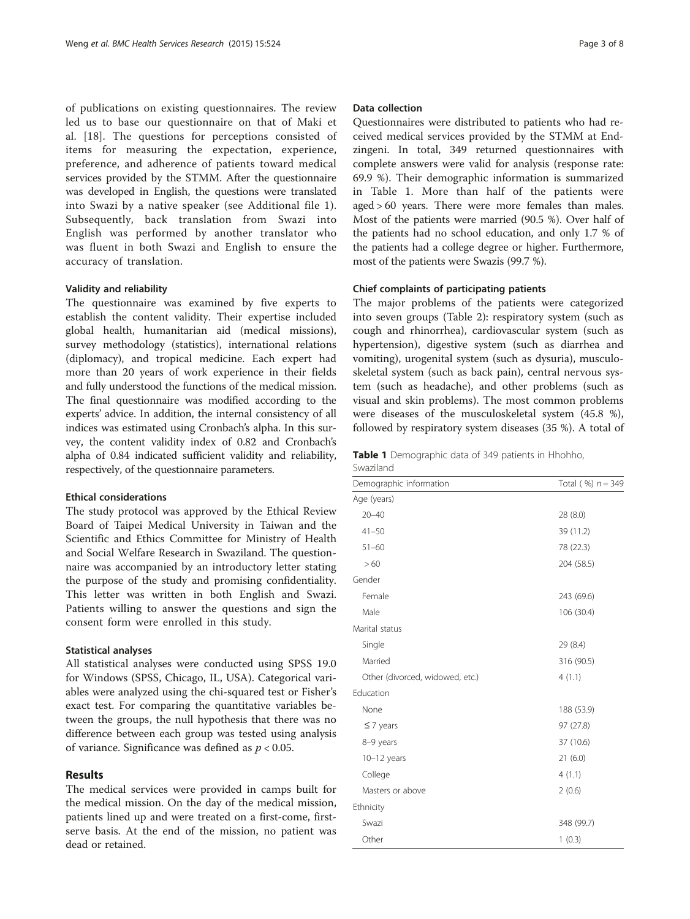of publications on existing questionnaires. The review led us to base our questionnaire on that of Maki et al. [\[18](#page-6-0)]. The questions for perceptions consisted of items for measuring the expectation, experience, preference, and adherence of patients toward medical services provided by the STMM. After the questionnaire was developed in English, the questions were translated into Swazi by a native speaker (see Additional file [1](#page-6-0)). Subsequently, back translation from Swazi into English was performed by another translator who was fluent in both Swazi and English to ensure the accuracy of translation.

#### Validity and reliability

The questionnaire was examined by five experts to establish the content validity. Their expertise included global health, humanitarian aid (medical missions), survey methodology (statistics), international relations (diplomacy), and tropical medicine. Each expert had more than 20 years of work experience in their fields and fully understood the functions of the medical mission. The final questionnaire was modified according to the experts' advice. In addition, the internal consistency of all indices was estimated using Cronbach's alpha. In this survey, the content validity index of 0.82 and Cronbach's alpha of 0.84 indicated sufficient validity and reliability, respectively, of the questionnaire parameters.

## Ethical considerations

The study protocol was approved by the Ethical Review Board of Taipei Medical University in Taiwan and the Scientific and Ethics Committee for Ministry of Health and Social Welfare Research in Swaziland. The questionnaire was accompanied by an introductory letter stating the purpose of the study and promising confidentiality. This letter was written in both English and Swazi. Patients willing to answer the questions and sign the consent form were enrolled in this study.

### Statistical analyses

All statistical analyses were conducted using SPSS 19.0 for Windows (SPSS, Chicago, IL, USA). Categorical variables were analyzed using the chi-squared test or Fisher's exact test. For comparing the quantitative variables between the groups, the null hypothesis that there was no difference between each group was tested using analysis of variance. Significance was defined as  $p < 0.05$ .

## Results

The medical services were provided in camps built for the medical mission. On the day of the medical mission, patients lined up and were treated on a first-come, firstserve basis. At the end of the mission, no patient was dead or retained.

## Data collection

Questionnaires were distributed to patients who had received medical services provided by the STMM at Endzingeni. In total, 349 returned questionnaires with complete answers were valid for analysis (response rate: 69.9 %). Their demographic information is summarized in Table 1. More than half of the patients were aged > 60 years. There were more females than males. Most of the patients were married (90.5 %). Over half of the patients had no school education, and only 1.7 % of the patients had a college degree or higher. Furthermore, most of the patients were Swazis (99.7 %).

#### Chief complaints of participating patients

The major problems of the patients were categorized into seven groups (Table [2](#page-3-0)): respiratory system (such as cough and rhinorrhea), cardiovascular system (such as hypertension), digestive system (such as diarrhea and vomiting), urogenital system (such as dysuria), musculoskeletal system (such as back pain), central nervous system (such as headache), and other problems (such as visual and skin problems). The most common problems were diseases of the musculoskeletal system (45.8 %), followed by respiratory system diseases (35 %). A total of

Table 1 Demographic data of 349 patients in Hhohho, Swaziland

| Demographic information         | Total $( %) n = 349$ |
|---------------------------------|----------------------|
| Age (years)                     |                      |
| $20 - 40$                       | 28 (8.0)             |
| $41 - 50$                       | 39 (11.2)            |
| $51 - 60$                       | 78 (22.3)            |
| >60                             | 204 (58.5)           |
| Gender                          |                      |
| Female                          | 243 (69.6)           |
| Male                            | 106 (30.4)           |
| Marital status                  |                      |
| Single                          | 29 (8.4)             |
| Married                         | 316 (90.5)           |
| Other (divorced, widowed, etc.) | 4(1.1)               |
| Education                       |                      |
| None                            | 188 (53.9)           |
| $\leq$ 7 years                  | 97 (27.8)            |
| 8-9 years                       | 37 (10.6)            |
| $10-12$ years                   | 21(6.0)              |
| College                         | 4(1.1)               |
| Masters or above                | 2(0.6)               |
| Ethnicity                       |                      |
| Swazi                           | 348 (99.7)           |
| Other                           | 1(0.3)               |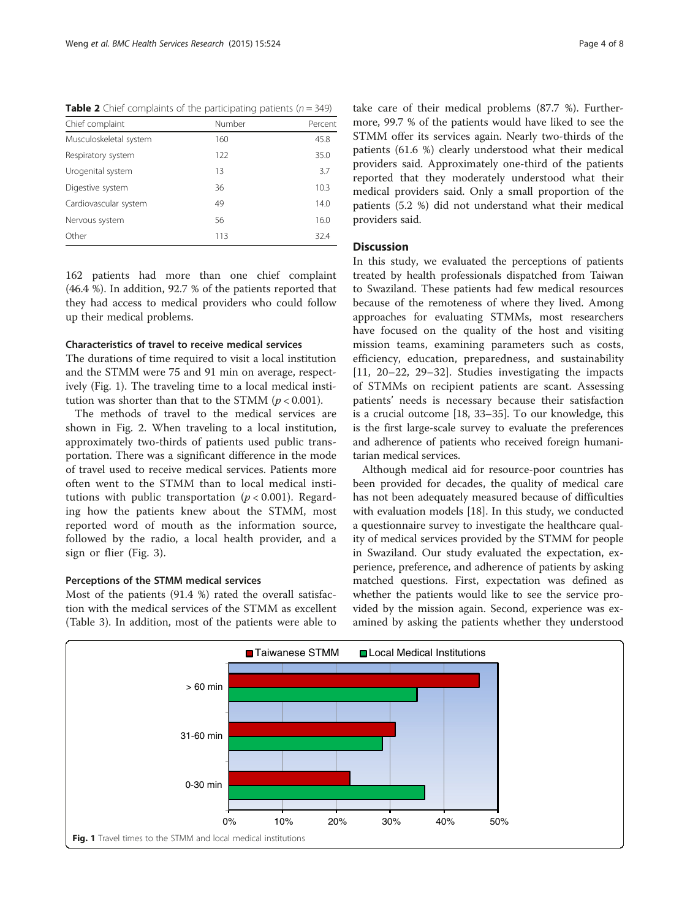| Chief complaint        | Number | Percent |
|------------------------|--------|---------|
| Musculoskeletal system | 160    | 45.8    |
| Respiratory system     | 122    | 35.0    |
| Urogenital system      | 13     | 3.7     |
| Digestive system       | 36     | 10.3    |
| Cardiovascular system  | 49     | 14.0    |
| Nervous system         | 56     | 16.0    |
| Other                  | 113    | 32.4    |

<span id="page-3-0"></span>**Table 2** Chief complaints of the participating patients ( $n = 349$ )

162 patients had more than one chief complaint (46.4 %). In addition, 92.7 % of the patients reported that they had access to medical providers who could follow up their medical problems.

## Characteristics of travel to receive medical services

The durations of time required to visit a local institution and the STMM were 75 and 91 min on average, respectively (Fig. 1). The traveling time to a local medical institution was shorter than that to the STMM ( $p < 0.001$ ).

The methods of travel to the medical services are shown in Fig. [2](#page-4-0). When traveling to a local institution, approximately two-thirds of patients used public transportation. There was a significant difference in the mode of travel used to receive medical services. Patients more often went to the STMM than to local medical institutions with public transportation ( $p < 0.001$ ). Regarding how the patients knew about the STMM, most reported word of mouth as the information source, followed by the radio, a local health provider, and a sign or flier (Fig. [3\)](#page-4-0).

#### Perceptions of the STMM medical services

Most of the patients (91.4 %) rated the overall satisfaction with the medical services of the STMM as excellent (Table [3\)](#page-5-0). In addition, most of the patients were able to take care of their medical problems (87.7 %). Furthermore, 99.7 % of the patients would have liked to see the STMM offer its services again. Nearly two-thirds of the patients (61.6 %) clearly understood what their medical providers said. Approximately one-third of the patients reported that they moderately understood what their medical providers said. Only a small proportion of the patients (5.2 %) did not understand what their medical providers said.

## **Discussion**

In this study, we evaluated the perceptions of patients treated by health professionals dispatched from Taiwan to Swaziland. These patients had few medical resources because of the remoteness of where they lived. Among approaches for evaluating STMMs, most researchers have focused on the quality of the host and visiting mission teams, examining parameters such as costs, efficiency, education, preparedness, and sustainability [[11, 20](#page-6-0)–[22](#page-6-0), [29](#page-6-0)–[32\]](#page-7-0). Studies investigating the impacts of STMMs on recipient patients are scant. Assessing patients' needs is necessary because their satisfaction is a crucial outcome [\[18,](#page-6-0) [33](#page-7-0)–[35\]](#page-7-0). To our knowledge, this is the first large-scale survey to evaluate the preferences and adherence of patients who received foreign humanitarian medical services.

Although medical aid for resource-poor countries has been provided for decades, the quality of medical care has not been adequately measured because of difficulties with evaluation models [\[18](#page-6-0)]. In this study, we conducted a questionnaire survey to investigate the healthcare quality of medical services provided by the STMM for people in Swaziland. Our study evaluated the expectation, experience, preference, and adherence of patients by asking matched questions. First, expectation was defined as whether the patients would like to see the service provided by the mission again. Second, experience was examined by asking the patients whether they understood

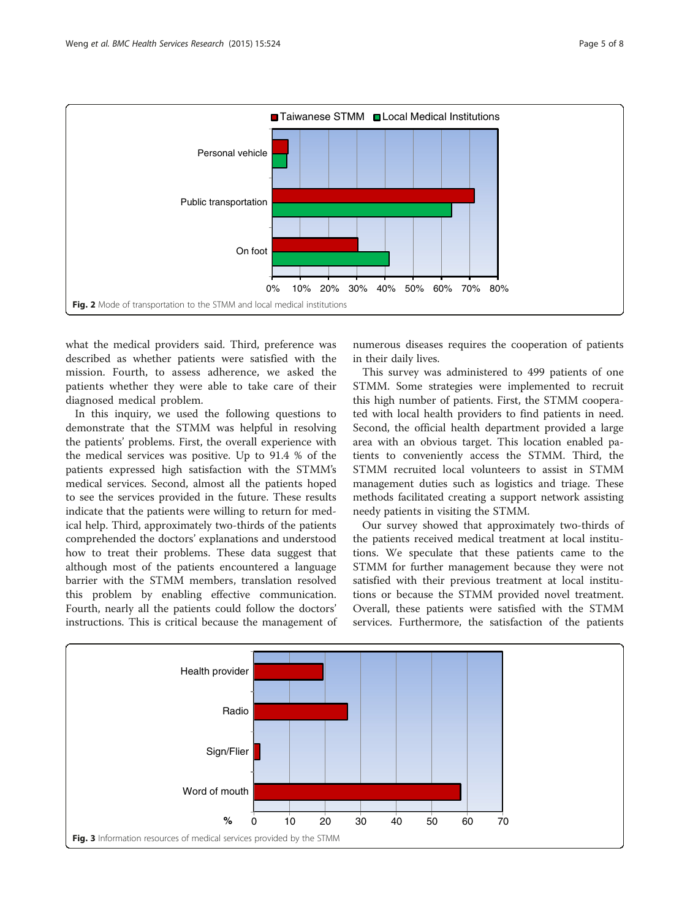<span id="page-4-0"></span>

what the medical providers said. Third, preference was described as whether patients were satisfied with the mission. Fourth, to assess adherence, we asked the patients whether they were able to take care of their diagnosed medical problem.

In this inquiry, we used the following questions to demonstrate that the STMM was helpful in resolving the patients' problems. First, the overall experience with the medical services was positive. Up to 91.4 % of the patients expressed high satisfaction with the STMM's medical services. Second, almost all the patients hoped to see the services provided in the future. These results indicate that the patients were willing to return for medical help. Third, approximately two-thirds of the patients comprehended the doctors' explanations and understood how to treat their problems. These data suggest that although most of the patients encountered a language barrier with the STMM members, translation resolved this problem by enabling effective communication. Fourth, nearly all the patients could follow the doctors' instructions. This is critical because the management of

numerous diseases requires the cooperation of patients in their daily lives.

This survey was administered to 499 patients of one STMM. Some strategies were implemented to recruit this high number of patients. First, the STMM cooperated with local health providers to find patients in need. Second, the official health department provided a large area with an obvious target. This location enabled patients to conveniently access the STMM. Third, the STMM recruited local volunteers to assist in STMM management duties such as logistics and triage. These methods facilitated creating a support network assisting needy patients in visiting the STMM.

Our survey showed that approximately two-thirds of the patients received medical treatment at local institutions. We speculate that these patients came to the STMM for further management because they were not satisfied with their previous treatment at local institutions or because the STMM provided novel treatment. Overall, these patients were satisfied with the STMM services. Furthermore, the satisfaction of the patients

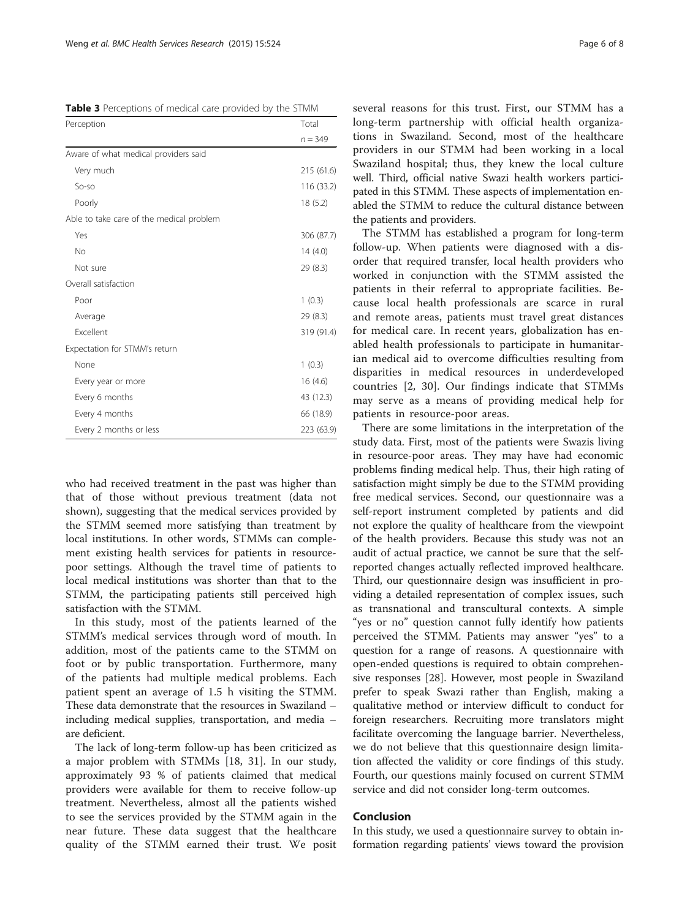<span id="page-5-0"></span>Table 3 Perceptions of medical care provided by the STMM

| Perception                               | Total<br>$n = 349$ |
|------------------------------------------|--------------------|
|                                          |                    |
| Very much                                | 215 (61.6)         |
| $SO-SO$                                  | 116 (33.2)         |
| Poorly                                   | 18(5.2)            |
| Able to take care of the medical problem |                    |
| Yes                                      | 306 (87.7)         |
| No                                       | 14(4.0)            |
| Not sure                                 | 29 (8.3)           |
| Overall satisfaction                     |                    |
| Poor                                     | 1(0.3)             |
| Average                                  | 29 (8.3)           |
| <b>Fxcellent</b>                         | 319 (91.4)         |
| Expectation for STMM's return            |                    |
| None                                     | 1(0.3)             |
| Every year or more                       | 16(4.6)            |
| Every 6 months                           | 43 (12.3)          |
| Every 4 months                           | 66 (18.9)          |
| Every 2 months or less                   | 223 (63.9)         |

who had received treatment in the past was higher than that of those without previous treatment (data not shown), suggesting that the medical services provided by the STMM seemed more satisfying than treatment by local institutions. In other words, STMMs can complement existing health services for patients in resourcepoor settings. Although the travel time of patients to local medical institutions was shorter than that to the STMM, the participating patients still perceived high satisfaction with the STMM.

In this study, most of the patients learned of the STMM's medical services through word of mouth. In addition, most of the patients came to the STMM on foot or by public transportation. Furthermore, many of the patients had multiple medical problems. Each patient spent an average of 1.5 h visiting the STMM. These data demonstrate that the resources in Swaziland – including medical supplies, transportation, and media – are deficient.

The lack of long-term follow-up has been criticized as a major problem with STMMs [[18](#page-6-0), [31](#page-6-0)]. In our study, approximately 93 % of patients claimed that medical providers were available for them to receive follow-up treatment. Nevertheless, almost all the patients wished to see the services provided by the STMM again in the near future. These data suggest that the healthcare quality of the STMM earned their trust. We posit

several reasons for this trust. First, our STMM has a long-term partnership with official health organizations in Swaziland. Second, most of the healthcare providers in our STMM had been working in a local Swaziland hospital; thus, they knew the local culture well. Third, official native Swazi health workers participated in this STMM. These aspects of implementation enabled the STMM to reduce the cultural distance between the patients and providers.

The STMM has established a program for long-term follow-up. When patients were diagnosed with a disorder that required transfer, local health providers who worked in conjunction with the STMM assisted the patients in their referral to appropriate facilities. Because local health professionals are scarce in rural and remote areas, patients must travel great distances for medical care. In recent years, globalization has enabled health professionals to participate in humanitarian medical aid to overcome difficulties resulting from disparities in medical resources in underdeveloped countries [[2, 30](#page-6-0)]. Our findings indicate that STMMs may serve as a means of providing medical help for patients in resource-poor areas.

There are some limitations in the interpretation of the study data. First, most of the patients were Swazis living in resource-poor areas. They may have had economic problems finding medical help. Thus, their high rating of satisfaction might simply be due to the STMM providing free medical services. Second, our questionnaire was a self-report instrument completed by patients and did not explore the quality of healthcare from the viewpoint of the health providers. Because this study was not an audit of actual practice, we cannot be sure that the selfreported changes actually reflected improved healthcare. Third, our questionnaire design was insufficient in providing a detailed representation of complex issues, such as transnational and transcultural contexts. A simple "yes or no" question cannot fully identify how patients perceived the STMM. Patients may answer "yes" to a question for a range of reasons. A questionnaire with open-ended questions is required to obtain comprehensive responses [\[28](#page-6-0)]. However, most people in Swaziland prefer to speak Swazi rather than English, making a qualitative method or interview difficult to conduct for foreign researchers. Recruiting more translators might facilitate overcoming the language barrier. Nevertheless, we do not believe that this questionnaire design limitation affected the validity or core findings of this study. Fourth, our questions mainly focused on current STMM service and did not consider long-term outcomes.

#### Conclusion

In this study, we used a questionnaire survey to obtain information regarding patients' views toward the provision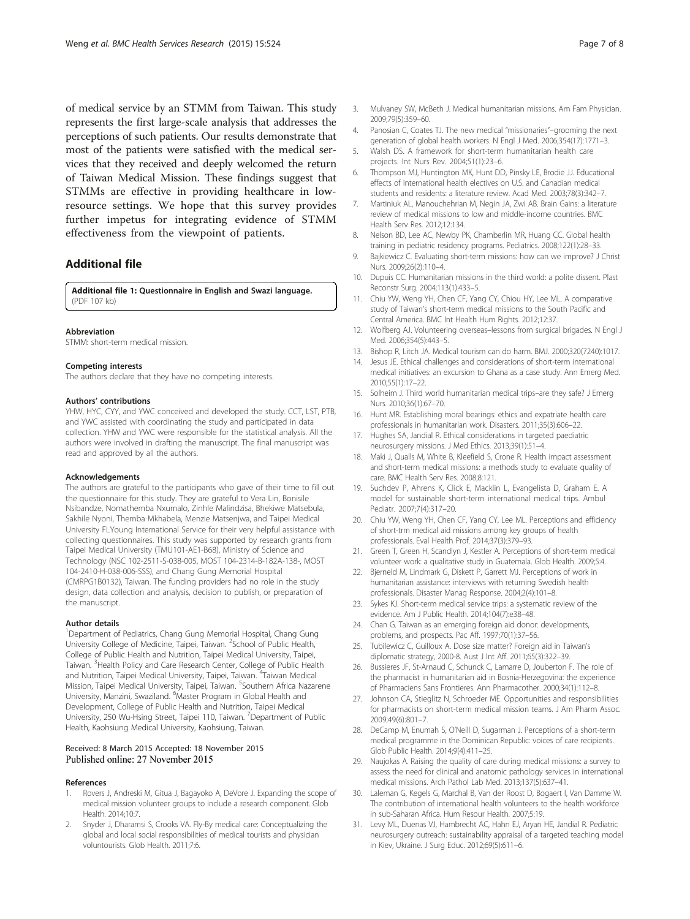<span id="page-6-0"></span>of medical service by an STMM from Taiwan. This study represents the first large-scale analysis that addresses the perceptions of such patients. Our results demonstrate that most of the patients were satisfied with the medical services that they received and deeply welcomed the return of Taiwan Medical Mission. These findings suggest that STMMs are effective in providing healthcare in lowresource settings. We hope that this survey provides further impetus for integrating evidence of STMM effectiveness from the viewpoint of patients.

## Additional file

[Additional file 1:](dx.doi.org/10.1186/s12913-015-1186-4) Questionnaire in English and Swazi language. (PDF 107 kb)

#### Abbreviation

STMM: short-term medical mission.

#### Competing interests

The authors declare that they have no competing interests.

#### Authors' contributions

YHW, HYC, CYY, and YWC conceived and developed the study. CCT, LST, PTB, and YWC assisted with coordinating the study and participated in data collection. YHW and YWC were responsible for the statistical analysis. All the authors were involved in drafting the manuscript. The final manuscript was read and approved by all the authors.

#### Acknowledgements

The authors are grateful to the participants who gave of their time to fill out the questionnaire for this study. They are grateful to Vera Lin, Bonisile Nsibandze, Nomathemba Nxumalo, Zinhle Malindzisa, Bhekiwe Matsebula, Sakhile Nyoni, Themba Mkhabela, Menzie Matsenjwa, and Taipei Medical University FLYoung International Service for their very helpful assistance with collecting questionnaires. This study was supported by research grants from Taipei Medical University (TMU101-AE1-B68), Ministry of Science and Technology (NSC 102-2511-S-038-005, MOST 104-2314-B-182A-138-, MOST 104-2410-H-038-006-SSS), and Chang Gung Memorial Hospital (CMRPG1B0132), Taiwan. The funding providers had no role in the study design, data collection and analysis, decision to publish, or preparation of the manuscript.

#### Author details

<sup>1</sup>Department of Pediatrics, Chang Gung Memorial Hospital, Chang Gung University College of Medicine, Taipei, Taiwan. <sup>2</sup>School of Public Health, College of Public Health and Nutrition, Taipei Medical University, Taipei, Taiwan. <sup>3</sup> Health Policy and Care Research Center, College of Public Health and Nutrition, Taipei Medical University, Taipei, Taiwan. <sup>4</sup>Taiwan Medical Mission, Taipei Medical University, Taipei, Taiwan. <sup>5</sup>Southern Africa Nazarene University, Manzini, Swaziland. <sup>6</sup>Master Program in Global Health and Development, College of Public Health and Nutrition, Taipei Medical University, 250 Wu-Hsing Street, Taipei 110, Taiwan. <sup>7</sup>Department of Public Health, Kaohsiung Medical University, Kaohsiung, Taiwan.

#### Received: 8 March 2015 Accepted: 18 November 2015 Published online: 27 November 2015

#### References

- Rovers J, Andreski M, Gitua J, Bagayoko A, DeVore J. Expanding the scope of medical mission volunteer groups to include a research component. Glob Health. 2014;10:7.
- 2. Snyder J, Dharamsi S, Crooks VA. Fly-By medical care: Conceptualizing the global and local social responsibilities of medical tourists and physician voluntourists. Glob Health. 2011;7:6.
- 3. Mulvaney SW, McBeth J. Medical humanitarian missions. Am Fam Physician. 2009;79(5):359–60.
- 4. Panosian C, Coates TJ. The new medical "missionaries"–grooming the next generation of global health workers. N Engl J Med. 2006;354(17):1771–3.
- 5. Walsh DS. A framework for short-term humanitarian health care projects. Int Nurs Rev. 2004;51(1):23–6.
- 6. Thompson MJ, Huntington MK, Hunt DD, Pinsky LE, Brodie JJ. Educational effects of international health electives on U.S. and Canadian medical students and residents: a literature review. Acad Med. 2003;78(3):342–7.
- 7. Martiniuk AL, Manouchehrian M, Negin JA, Zwi AB. Brain Gains: a literature review of medical missions to low and middle-income countries. BMC Health Serv Res. 2012;12:134.
- 8. Nelson BD, Lee AC, Newby PK, Chamberlin MR, Huang CC. Global health training in pediatric residency programs. Pediatrics. 2008;122(1):28–33.
- 9. Bajkiewicz C. Evaluating short-term missions: how can we improve? J Christ Nurs. 2009;26(2):110–4.
- 10. Dupuis CC. Humanitarian missions in the third world: a polite dissent. Plast Reconstr Surg. 2004;113(1):433–5.
- 11. Chiu YW, Weng YH, Chen CF, Yang CY, Chiou HY, Lee ML. A comparative study of Taiwan's short-term medical missions to the South Pacific and Central America. BMC Int Health Hum Rights. 2012;12:37.
- 12. Wolfberg AJ. Volunteering overseas–lessons from surgical brigades. N Engl J Med. 2006;354(5):443–5.
- 13. Bishop R, Litch JA. Medical tourism can do harm. BMJ. 2000;320(7240):1017.
- 14. Jesus JE. Ethical challenges and considerations of short-term international medical initiatives: an excursion to Ghana as a case study. Ann Emerg Med. 2010;55(1):17–22.
- 15. Solheim J. Third world humanitarian medical trips–are they safe? J Emerg Nurs. 2010;36(1):67–70.
- 16. Hunt MR. Establishing moral bearings: ethics and expatriate health care professionals in humanitarian work. Disasters. 2011;35(3):606–22.
- 17. Hughes SA, Jandial R. Ethical considerations in targeted paediatric neurosurgery missions. J Med Ethics. 2013;39(1):51–4.
- 18. Maki J, Qualls M, White B, Kleefield S, Crone R. Health impact assessment and short-term medical missions: a methods study to evaluate quality of care. BMC Health Serv Res. 2008;8:121.
- 19. Suchdev P, Ahrens K, Click E, Macklin L, Evangelista D, Graham E. A model for sustainable short-term international medical trips. Ambul Pediatr. 2007;7(4):317–20.
- 20. Chiu YW, Weng YH, Chen CF, Yang CY, Lee ML. Perceptions and efficiency of short-trm medical aid missions among key groups of health professionals. Eval Health Prof. 2014;37(3):379–93.
- 21. Green T, Green H, Scandlyn J, Kestler A. Perceptions of short-term medical volunteer work: a qualitative study in Guatemala. Glob Health. 2009;5:4.
- 22. Bjerneld M, Lindmark G, Diskett P, Garrett MJ. Perceptions of work in humanitarian assistance: interviews with returning Swedish health professionals. Disaster Manag Response. 2004;2(4):101–8.
- 23. Sykes KJ. Short-term medical service trips: a systematic review of the evidence. Am J Public Health. 2014;104(7):e38–48.
- 24. Chan G. Taiwan as an emerging foreign aid donor: developments, problems, and prospects. Pac Aff. 1997;70(1):37–56.
- 25. Tubilewicz C, Guilloux A. Dose size matter? Foreign aid in Taiwan's diplomatic strategy, 2000-8. Aust J Int Aff. 2011;65(3):322–39.
- 26. Bussieres JF, St-Arnaud C, Schunck C, Lamarre D, Jouberton F. The role of the pharmacist in humanitarian aid in Bosnia-Herzegovina: the experience of Pharmaciens Sans Frontieres. Ann Pharmacother. 2000;34(1):112–8.
- 27. Johnson CA, Stieglitz N, Schroeder ME. Opportunities and responsibilities for pharmacists on short-term medical mission teams. J Am Pharm Assoc. 2009;49(6):801–7.
- 28. DeCamp M, Enumah S, O'Neill D, Sugarman J. Perceptions of a short-term medical programme in the Dominican Republic: voices of care recipients. Glob Public Health. 2014;9(4):411–25.
- 29. Naujokas A. Raising the quality of care during medical missions: a survey to assess the need for clinical and anatomic pathology services in international medical missions. Arch Pathol Lab Med. 2013;137(5):637–41.
- 30. Laleman G, Kegels G, Marchal B, Van der Roost D, Bogaert I, Van Damme W. The contribution of international health volunteers to the health workforce in sub-Saharan Africa. Hum Resour Health. 2007;5:19.
- 31. Levy ML, Duenas VJ, Hambrecht AC, Hahn EJ, Aryan HE, Jandial R. Pediatric neurosurgery outreach: sustainability appraisal of a targeted teaching model in Kiev, Ukraine. J Surg Educ. 2012;69(5):611–6.